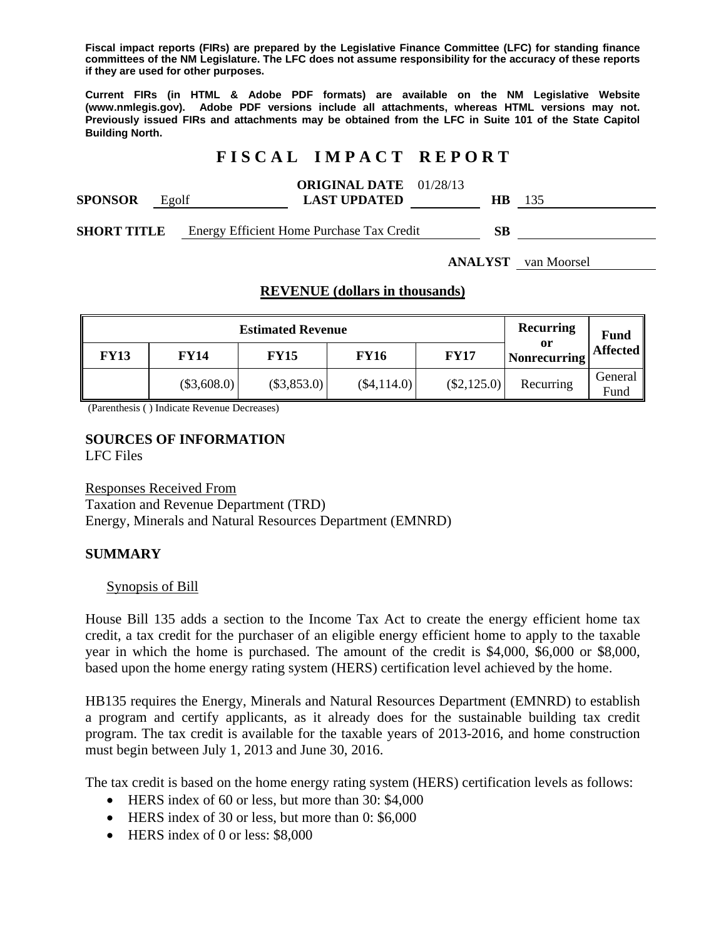**Fiscal impact reports (FIRs) are prepared by the Legislative Finance Committee (LFC) for standing finance committees of the NM Legislature. The LFC does not assume responsibility for the accuracy of these reports if they are used for other purposes.** 

**Current FIRs (in HTML & Adobe PDF formats) are available on the NM Legislative Website (www.nmlegis.gov). Adobe PDF versions include all attachments, whereas HTML versions may not. Previously issued FIRs and attachments may be obtained from the LFC in Suite 101 of the State Capitol Building North.**

# **F I S C A L I M P A C T R E P O R T**

|                                    |       | <b>ORIGINAL DATE</b> 01/28/13                                                                                                                                                                                                                                                                 |    |     |
|------------------------------------|-------|-----------------------------------------------------------------------------------------------------------------------------------------------------------------------------------------------------------------------------------------------------------------------------------------------|----|-----|
| <b>SPONSOR</b>                     | Egolf | <b>LAST UPDATED</b>                                                                                                                                                                                                                                                                           | HВ | 135 |
| $\alpha$ than the true $\mathbf r$ |       | $\mathbf{E}_{\text{new}}$ $\mathbf{E}$ $\mathbf{E}$ $\mathbf{E}$ $\mathbf{E}$ $\mathbf{E}_{\text{new}}$ $\mathbf{E}_{\text{new}}$ $\mathbf{E}_{\text{new}}$ $\mathbf{E}_{\text{new}}$ $\mathbf{E}_{\text{new}}$ $\mathbf{E}_{\text{new}}$ $\mathbf{E}_{\text{new}}$ $\mathbf{E}_{\text{new}}$ | cъ |     |

**SHORT TITLE** Energy Efficient Home Purchase Tax Credit **SB** 

**ANALYST** van Moorsel

### **REVENUE (dollars in thousands)**

|             | <b>Recurring</b> | <b>Fund</b>   |               |               |                           |                    |
|-------------|------------------|---------------|---------------|---------------|---------------------------|--------------------|
| <b>FY13</b> | <b>FY14</b>      | <b>FY15</b>   | <b>FY16</b>   | <b>FY17</b>   | or<br><b>Nonrecurring</b> | Affected           |
|             | $(\$3,608.0)$    | $(\$3,853.0)$ | $(\$4,114.0)$ | $(\$2,125.0)$ | Recurring                 | General   <br>Fund |

(Parenthesis ( ) Indicate Revenue Decreases)

# **SOURCES OF INFORMATION**

LFC Files

Responses Received From

Taxation and Revenue Department (TRD) Energy, Minerals and Natural Resources Department (EMNRD)

### **SUMMARY**

#### Synopsis of Bill

House Bill 135 adds a section to the Income Tax Act to create the energy efficient home tax credit, a tax credit for the purchaser of an eligible energy efficient home to apply to the taxable year in which the home is purchased. The amount of the credit is \$4,000, \$6,000 or \$8,000, based upon the home energy rating system (HERS) certification level achieved by the home.

HB135 requires the Energy, Minerals and Natural Resources Department (EMNRD) to establish a program and certify applicants, as it already does for the sustainable building tax credit program. The tax credit is available for the taxable years of 2013-2016, and home construction must begin between July 1, 2013 and June 30, 2016.

The tax credit is based on the home energy rating system (HERS) certification levels as follows:

- HERS index of 60 or less, but more than 30: \$4,000
- HERS index of 30 or less, but more than 0: \$6,000
- HERS index of 0 or less: \$8,000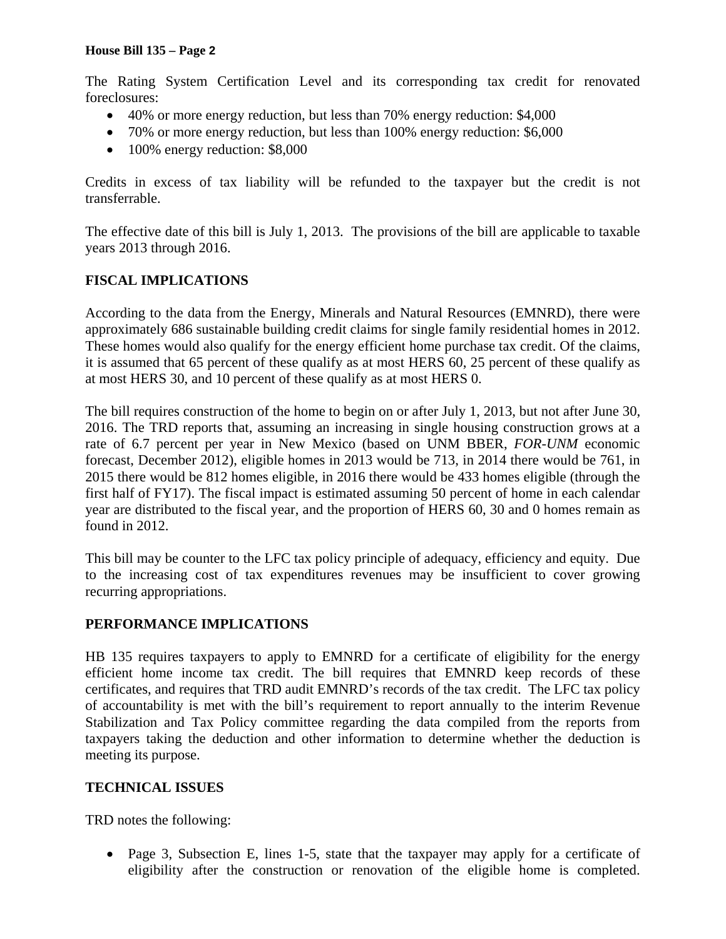The Rating System Certification Level and its corresponding tax credit for renovated foreclosures:

- 40% or more energy reduction, but less than 70% energy reduction: \$4,000
- 70% or more energy reduction, but less than 100% energy reduction: \$6,000
- 100% energy reduction: \$8,000

Credits in excess of tax liability will be refunded to the taxpayer but the credit is not transferrable.

The effective date of this bill is July 1, 2013. The provisions of the bill are applicable to taxable years 2013 through 2016.

## **FISCAL IMPLICATIONS**

According to the data from the Energy, Minerals and Natural Resources (EMNRD), there were approximately 686 sustainable building credit claims for single family residential homes in 2012. These homes would also qualify for the energy efficient home purchase tax credit. Of the claims, it is assumed that 65 percent of these qualify as at most HERS 60, 25 percent of these qualify as at most HERS 30, and 10 percent of these qualify as at most HERS 0.

The bill requires construction of the home to begin on or after July 1, 2013, but not after June 30, 2016. The TRD reports that, assuming an increasing in single housing construction grows at a rate of 6.7 percent per year in New Mexico (based on UNM BBER, *FOR-UNM* economic forecast, December 2012), eligible homes in 2013 would be 713, in 2014 there would be 761, in 2015 there would be 812 homes eligible, in 2016 there would be 433 homes eligible (through the first half of FY17). The fiscal impact is estimated assuming 50 percent of home in each calendar year are distributed to the fiscal year, and the proportion of HERS 60, 30 and 0 homes remain as found in 2012.

This bill may be counter to the LFC tax policy principle of adequacy, efficiency and equity. Due to the increasing cost of tax expenditures revenues may be insufficient to cover growing recurring appropriations.

### **PERFORMANCE IMPLICATIONS**

HB 135 requires taxpayers to apply to EMNRD for a certificate of eligibility for the energy efficient home income tax credit. The bill requires that EMNRD keep records of these certificates, and requires that TRD audit EMNRD's records of the tax credit. The LFC tax policy of accountability is met with the bill's requirement to report annually to the interim Revenue Stabilization and Tax Policy committee regarding the data compiled from the reports from taxpayers taking the deduction and other information to determine whether the deduction is meeting its purpose.

### **TECHNICAL ISSUES**

TRD notes the following:

• Page 3, Subsection E, lines 1-5, state that the taxpayer may apply for a certificate of eligibility after the construction or renovation of the eligible home is completed.